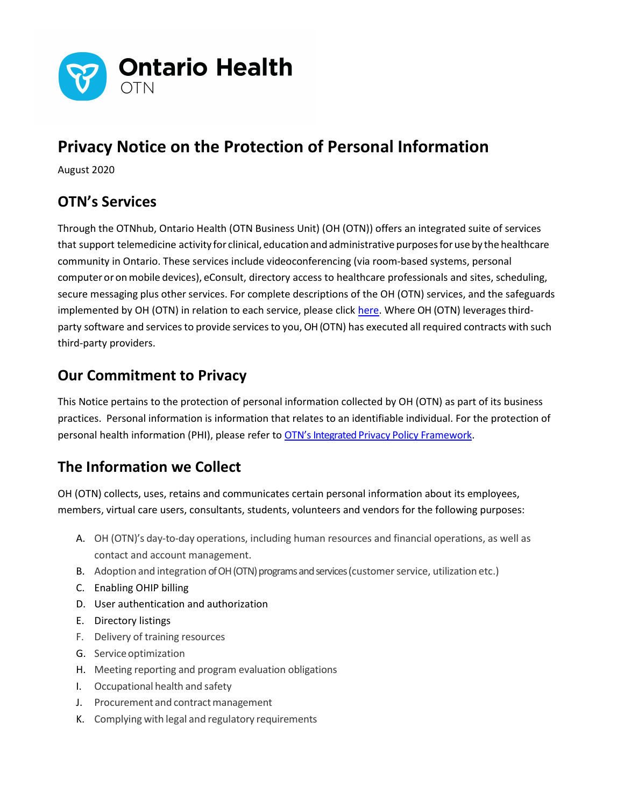

# Privacy Notice on the Protection of Personal Information

August 2020

# OTN's Services

Through the OTNhub, Ontario Health (OTN Business Unit) (OH (OTN)) offers an integrated suite of services that support telemedicine activity for clinical, education and administrative purposes for use by the healthcare community in Ontario. These services include videoconferencing (via room-based systems, personal computer or on mobile devices), eConsult, directory access to healthcare professionals and sites, scheduling, secure messaging plus other services. For complete descriptions of the OH (OTN) services, and the safeguards implemented by OH (OTN) in relation to each service, please click here. Where OH (OTN) leverages thirdparty software and services to provide services to you, OH (OTN) has executed all required contracts with such third-party providers.

#### Our Commitment to Privacy

This Notice pertains to the protection of personal information collected by OH (OTN) as part of its business practices. Personal information is information that relates to an identifiable individual. For the protection of personal health information (PHI), please refer to OTN's Integrated Privacy Policy Framework.

# The Information we Collect

OH (OTN) collects, uses, retains and communicates certain personal information about its employees, members, virtual care users, consultants, students, volunteers and vendors for the following purposes:

- A. OH (OTN)'s day-to-day operations, including human resources and financial operations, as well as contact and account management.
- B. Adoption and integration of OH (OTN) programs and services (customer service, utilization etc.)
- C. Enabling OHIP billing
- D. User authentication and authorization
- E. Directory listings
- F. Delivery of training resources
- G. Service optimization
- H. Meeting reporting and program evaluation obligations
- I. Occupational health and safety
- J. Procurement and contract management
- K. Complying with legal and regulatory requirements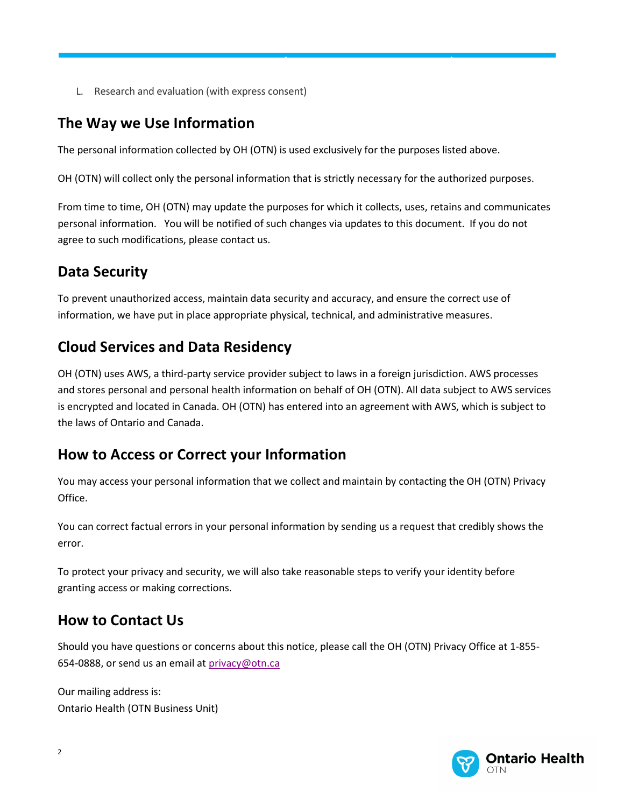L. Research and evaluation (with express consent)

#### The Way we Use Information

The personal information collected by OH (OTN) is used exclusively for the purposes listed above.

OH (OTN) will collect only the personal information that is strictly necessary for the authorized purposes.

ONTARIO HEALTH (CANCER CARE ONTARIO)

From time to time, OH (OTN) may update the purposes for which it collects, uses, retains and communicates personal information. You will be notified of such changes via updates to this document. If you do not agree to such modifications, please contact us.

### Data Security

To prevent unauthorized access, maintain data security and accuracy, and ensure the correct use of information, we have put in place appropriate physical, technical, and administrative measures.

#### Cloud Services and Data Residency

OH (OTN) uses AWS, a third-party service provider subject to laws in a foreign jurisdiction. AWS processes and stores personal and personal health information on behalf of OH (OTN). All data subject to AWS services is encrypted and located in Canada. OH (OTN) has entered into an agreement with AWS, which is subject to the laws of Ontario and Canada.

#### How to Access or Correct your Information

You may access your personal information that we collect and maintain by contacting the OH (OTN) Privacy Office.

You can correct factual errors in your personal information by sending us a request that credibly shows the error.

To protect your privacy and security, we will also take reasonable steps to verify your identity before granting access or making corrections.

# How to Contact Us

Should you have questions or concerns about this notice, please call the OH (OTN) Privacy Office at 1-855- 654-0888, or send us an email at privacy@otn.ca

Our mailing address is: Ontario Health (OTN Business Unit)